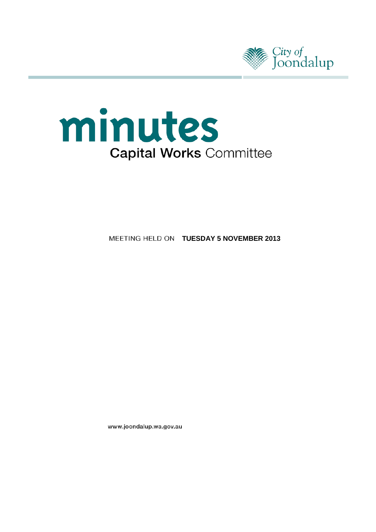



**MEETING HELD ON TUESDAY 5 NOVEMBER 2013** 

www.joondalup.wa.gov.au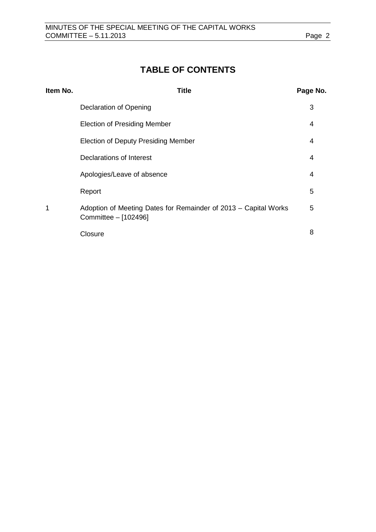# **TABLE OF CONTENTS**

| Item No. | <b>Title</b>                                                                            | Page No. |
|----------|-----------------------------------------------------------------------------------------|----------|
|          | Declaration of Opening                                                                  | 3        |
|          | <b>Election of Presiding Member</b>                                                     | 4        |
|          | <b>Election of Deputy Presiding Member</b>                                              | 4        |
|          | Declarations of Interest                                                                | 4        |
|          | Apologies/Leave of absence                                                              | 4        |
|          | Report                                                                                  | 5        |
| 1        | Adoption of Meeting Dates for Remainder of 2013 – Capital Works<br>Committee - [102496] | 5        |
|          | Closure                                                                                 | 8        |
|          |                                                                                         |          |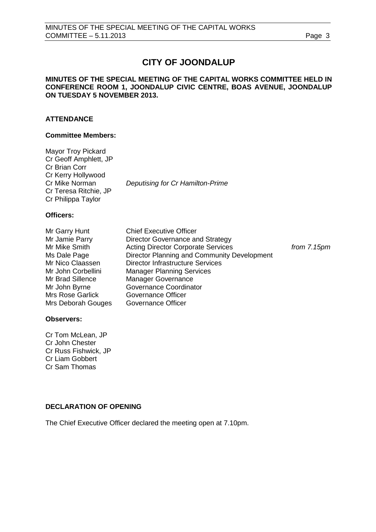## **CITY OF JOONDALUP**

#### **MINUTES OF THE SPECIAL MEETING OF THE CAPITAL WORKS COMMITTEE HELD IN CONFERENCE ROOM 1, JOONDALUP CIVIC CENTRE, BOAS AVENUE, JOONDALUP ON TUESDAY 5 NOVEMBER 2013.**

#### **ATTENDANCE**

#### **Committee Members:**

| <b>Mayor Troy Pickard</b><br>Cr Geoff Amphlett, JP<br>Cr Brian Corr<br>Cr Kerry Hollywood<br>Cr Mike Norman<br>Cr Teresa Ritchie, JP | Deputising for Cr Hamilton-Prime |
|--------------------------------------------------------------------------------------------------------------------------------------|----------------------------------|
| Cr Philippa Taylor                                                                                                                   |                                  |

#### **Officers:**

| Mr Garry Hunt      | <b>Chief Executive Officer</b>              |                |
|--------------------|---------------------------------------------|----------------|
| Mr Jamie Parry     | Director Governance and Strategy            |                |
| Mr Mike Smith      | <b>Acting Director Corporate Services</b>   | from $7.15$ pm |
| Ms Dale Page       | Director Planning and Community Development |                |
| Mr Nico Claassen   | <b>Director Infrastructure Services</b>     |                |
| Mr John Corbellini | <b>Manager Planning Services</b>            |                |
| Mr Brad Sillence   | <b>Manager Governance</b>                   |                |
| Mr John Byrne      | Governance Coordinator                      |                |
| Mrs Rose Garlick   | Governance Officer                          |                |
| Mrs Deborah Gouges | Governance Officer                          |                |
|                    |                                             |                |

#### **Observers:**

Cr Tom McLean, JP Cr John Chester Cr Russ Fishwick, JP Cr Liam Gobbert Cr Sam Thomas

#### <span id="page-2-0"></span>**DECLARATION OF OPENING**

The Chief Executive Officer declared the meeting open at 7.10pm.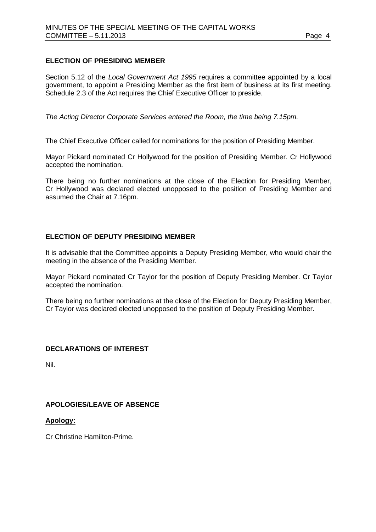#### <span id="page-3-0"></span>**ELECTION OF PRESIDING MEMBER**

Section 5.12 of the *Local Government Act 1995* requires a committee appointed by a local government, to appoint a Presiding Member as the first item of business at its first meeting. Schedule 2.3 of the Act requires the Chief Executive Officer to preside.

*The Acting Director Corporate Services entered the Room, the time being 7.15pm.* 

The Chief Executive Officer called for nominations for the position of Presiding Member.

Mayor Pickard nominated Cr Hollywood for the position of Presiding Member. Cr Hollywood accepted the nomination.

There being no further nominations at the close of the Election for Presiding Member, Cr Hollywood was declared elected unopposed to the position of Presiding Member and assumed the Chair at 7.16pm.

#### <span id="page-3-1"></span>**ELECTION OF DEPUTY PRESIDING MEMBER**

It is advisable that the Committee appoints a Deputy Presiding Member, who would chair the meeting in the absence of the Presiding Member.

Mayor Pickard nominated Cr Taylor for the position of Deputy Presiding Member. Cr Taylor accepted the nomination.

There being no further nominations at the close of the Election for Deputy Presiding Member, Cr Taylor was declared elected unopposed to the position of Deputy Presiding Member.

#### <span id="page-3-2"></span>**DECLARATIONS OF INTEREST**

Nil.

#### <span id="page-3-3"></span>**APOLOGIES/LEAVE OF ABSENCE**

#### **Apology:**

Cr Christine Hamilton-Prime.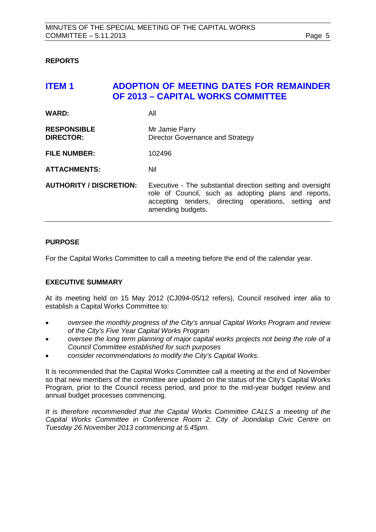#### <span id="page-4-0"></span>**REPORTS**

# <span id="page-4-1"></span>**ITEM 1 ADOPTION OF MEETING DATES FOR REMAINDER OF 2013 – CAPITAL WORKS COMMITTEE WARD:** All

**RESPONSIBLE** Mr Jamie Parry<br> **DIRECTOR:** Director Govern **Director Governance and Strategy** 

**FILE NUMBER:** 102496

**ATTACHMENTS:** Nil

**AUTHORITY / DISCRETION:** Executive - The substantial direction setting and oversight role of Council, such as adopting plans and reports, accepting tenders, directing operations, setting and amending budgets.

#### **PURPOSE**

For the Capital Works Committee to call a meeting before the end of the calendar year.

#### **EXECUTIVE SUMMARY**

At its meeting held on 15 May 2012 (CJ094-05/12 refers), Council resolved inter alia to establish a Capital Works Committee to:

- *oversee the monthly progress of the City's annual Capital Works Program and review of the City's Five Year Capital Works Program*
- *oversee the long term planning of major capital works projects not being the role of a Council Committee established for such purposes*
- *consider recommendations to modify the City's Capital Works.*

It is recommended that the Capital Works Committee call a meeting at the end of November so that new members of the committee are updated on the status of the City's Capital Works Program, prior to the Council recess period, and prior to the mid-year budget review and annual budget processes commencing.

*It is therefore recommended that the Capital Works Committee CALLS a meeting of the Capital Works Committee in Conference Room 2, City of Joondalup Civic Centre on Tuesday 26 November 2013 commencing at 5.45pm.*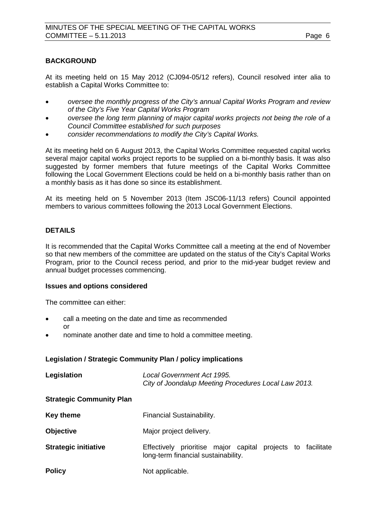#### **BACKGROUND**

At its meeting held on 15 May 2012 (CJ094-05/12 refers), Council resolved inter alia to establish a Capital Works Committee to:

- *oversee the monthly progress of the City's annual Capital Works Program and review of the City's Five Year Capital Works Program*
- *oversee the long term planning of major capital works projects not being the role of a Council Committee established for such purposes*
- *consider recommendations to modify the City's Capital Works.*

At its meeting held on 6 August 2013, the Capital Works Committee requested capital works several major capital works project reports to be supplied on a bi-monthly basis. It was also suggested by former members that future meetings of the Capital Works Committee following the Local Government Elections could be held on a bi-monthly basis rather than on a monthly basis as it has done so since its establishment.

At its meeting held on 5 November 2013 (Item JSC06-11/13 refers) Council appointed members to various committees following the 2013 Local Government Elections.

#### **DETAILS**

It is recommended that the Capital Works Committee call a meeting at the end of November so that new members of the committee are updated on the status of the City's Capital Works Program, prior to the Council recess period, and prior to the mid-year budget review and annual budget processes commencing.

#### **Issues and options considered**

The committee can either:

- call a meeting on the date and time as recommended or
- nominate another date and time to hold a committee meeting.

#### **Legislation / Strategic Community Plan / policy implications**

| Legislation                     | Local Government Act 1995.<br>City of Joondalup Meeting Procedures Local Law 2013.                 |
|---------------------------------|----------------------------------------------------------------------------------------------------|
| <b>Strategic Community Plan</b> |                                                                                                    |
| <b>Key theme</b>                | Financial Sustainability.                                                                          |
| <b>Objective</b>                | Major project delivery.                                                                            |
| <b>Strategic initiative</b>     | Effectively prioritise major capital projects to facilitate<br>long-term financial sustainability. |
| <b>Policy</b>                   | Not applicable.                                                                                    |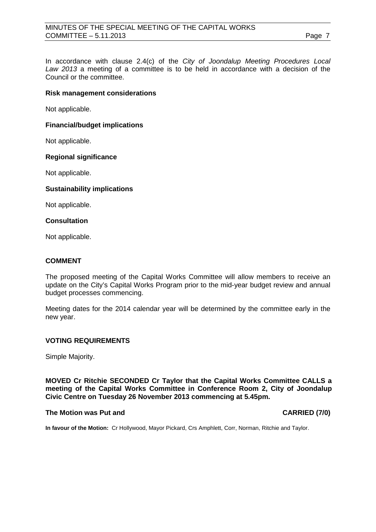In accordance with clause 2.4(c) of the *City of Joondalup Meeting Procedures Local Law 2013* a meeting of a committee is to be held in accordance with a decision of the Council or the committee.

#### **Risk management considerations**

Not applicable.

#### **Financial/budget implications**

Not applicable.

#### **Regional significance**

Not applicable.

#### **Sustainability implications**

Not applicable.

#### **Consultation**

Not applicable.

#### **COMMENT**

The proposed meeting of the Capital Works Committee will allow members to receive an update on the City's Capital Works Program prior to the mid-year budget review and annual budget processes commencing.

Meeting dates for the 2014 calendar year will be determined by the committee early in the new year.

#### **VOTING REQUIREMENTS**

Simple Majority.

**MOVED Cr Ritchie SECONDED Cr Taylor that the Capital Works Committee CALLS a meeting of the Capital Works Committee in Conference Room 2, City of Joondalup Civic Centre on Tuesday 26 November 2013 commencing at 5.45pm.**

#### **The Motion was Put and CARRIED (7/0)**

**In favour of the Motion:** Cr Hollywood, Mayor Pickard, Crs Amphlett, Corr, Norman, Ritchie and Taylor.